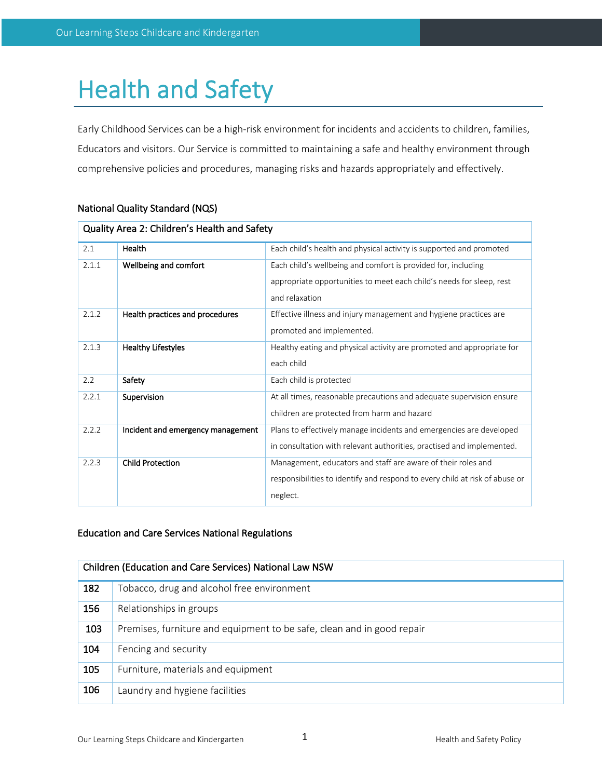# Health and Safety

Early Childhood Services can be a high-risk environment for incidents and accidents to children, families, Educators and visitors. Our Service is committed to maintaining a safe and healthy environment through comprehensive policies and procedures, managing risks and hazards appropriately and effectively.

| Quality Area 2: Children's Health and Safety |                                   |                                                                                                                                                         |  |
|----------------------------------------------|-----------------------------------|---------------------------------------------------------------------------------------------------------------------------------------------------------|--|
| 2.1                                          | Health                            | Each child's health and physical activity is supported and promoted                                                                                     |  |
| 2.1.1                                        | Wellbeing and comfort             | Each child's wellbeing and comfort is provided for, including<br>appropriate opportunities to meet each child's needs for sleep, rest<br>and relaxation |  |
| 2.1.2                                        | Health practices and procedures   | Effective illness and injury management and hygiene practices are<br>promoted and implemented.                                                          |  |
| 2.1.3                                        | <b>Healthy Lifestyles</b>         | Healthy eating and physical activity are promoted and appropriate for<br>each child                                                                     |  |
| 2.2                                          | Safety                            | Each child is protected                                                                                                                                 |  |
| 2.2.1                                        | Supervision                       | At all times, reasonable precautions and adequate supervision ensure<br>children are protected from harm and hazard                                     |  |
| 2.2.2                                        | Incident and emergency management | Plans to effectively manage incidents and emergencies are developed<br>in consultation with relevant authorities, practised and implemented.            |  |
| 2.2.3                                        | <b>Child Protection</b>           | Management, educators and staff are aware of their roles and<br>responsibilities to identify and respond to every child at risk of abuse or<br>neglect. |  |

# National Quality Standard (NQS)

# Education and Care Services National Regulations

| Children (Education and Care Services) National Law NSW |                                                                        |  |
|---------------------------------------------------------|------------------------------------------------------------------------|--|
| 182                                                     | Tobacco, drug and alcohol free environment                             |  |
| 156                                                     | Relationships in groups                                                |  |
| 103                                                     | Premises, furniture and equipment to be safe, clean and in good repair |  |
| 104                                                     | Fencing and security                                                   |  |
| 105                                                     | Furniture, materials and equipment                                     |  |
| 106                                                     | Laundry and hygiene facilities                                         |  |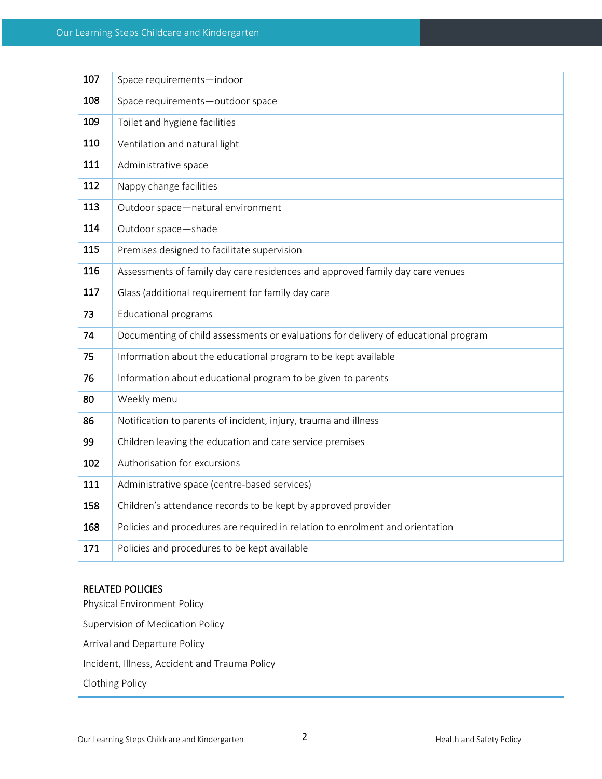| 107 | Space requirements-indoor                                                           |
|-----|-------------------------------------------------------------------------------------|
| 108 | Space requirements-outdoor space                                                    |
| 109 | Toilet and hygiene facilities                                                       |
| 110 | Ventilation and natural light                                                       |
| 111 | Administrative space                                                                |
| 112 | Nappy change facilities                                                             |
| 113 | Outdoor space-natural environment                                                   |
| 114 | Outdoor space-shade                                                                 |
| 115 | Premises designed to facilitate supervision                                         |
| 116 | Assessments of family day care residences and approved family day care venues       |
| 117 | Glass (additional requirement for family day care                                   |
| 73  | <b>Educational programs</b>                                                         |
| 74  | Documenting of child assessments or evaluations for delivery of educational program |
| 75  | Information about the educational program to be kept available                      |
| 76  | Information about educational program to be given to parents                        |
| 80  | Weekly menu                                                                         |
| 86  | Notification to parents of incident, injury, trauma and illness                     |
| 99  | Children leaving the education and care service premises                            |
| 102 | Authorisation for excursions                                                        |
| 111 | Administrative space (centre-based services)                                        |
| 158 | Children's attendance records to be kept by approved provider                       |
| 168 | Policies and procedures are required in relation to enrolment and orientation       |
| 171 | Policies and procedures to be kept available                                        |

# RELATED POLICIES

Physical Environment Policy Supervision of Medication Policy Arrival and Departure Policy Incident, Illness, Accident and Trauma Policy Clothing Policy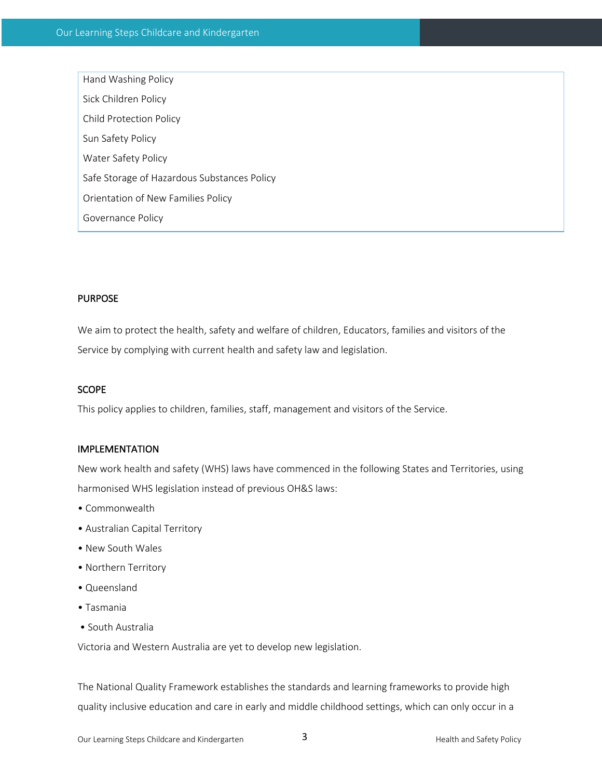Hand Washing Policy Sick Children Policy Child Protection Policy Sun Safety Policy Water Safety Policy Safe Storage of Hazardous Substances Policy Orientation of New Families Policy Governance Policy

# PURPOSE

We aim to protect the health, safety and welfare of children, Educators, families and visitors of the Service by complying with current health and safety law and legislation.

#### SCOPE

This policy applies to children, families, staff, management and visitors of the Service.

### IMPLEMENTATION

New work health and safety (WHS) laws have commenced in the following States and Territories, using harmonised WHS legislation instead of previous OH&S laws:

- Commonwealth
- Australian Capital Territory
- New South Wales
- Northern Territory
- Queensland
- Tasmania
- South Australia

Victoria and Western Australia are yet to develop new legislation.

The National Quality Framework establishes the standards and learning frameworks to provide high quality inclusive education and care in early and middle childhood settings, which can only occur in a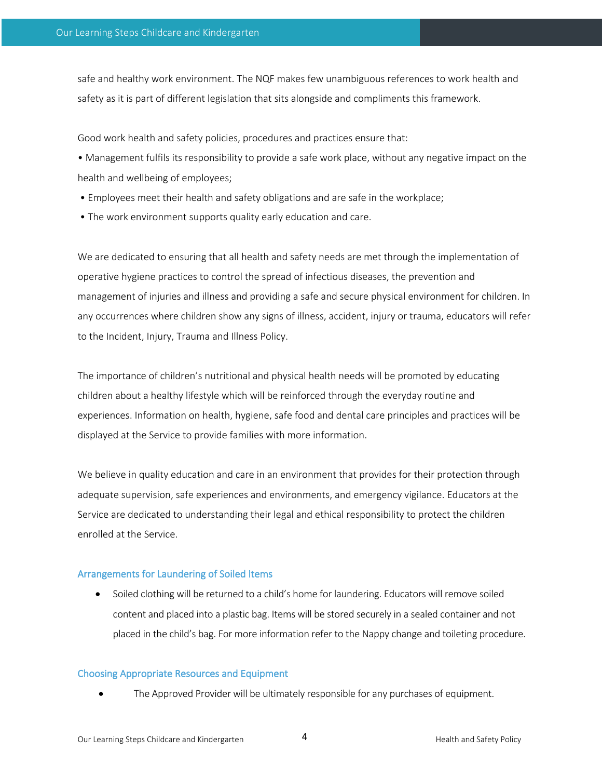safe and healthy work environment. The NQF makes few unambiguous references to work health and safety as it is part of different legislation that sits alongside and compliments this framework.

Good work health and safety policies, procedures and practices ensure that:

• Management fulfils its responsibility to provide a safe work place, without any negative impact on the health and wellbeing of employees;

- Employees meet their health and safety obligations and are safe in the workplace;
- The work environment supports quality early education and care.

We are dedicated to ensuring that all health and safety needs are met through the implementation of operative hygiene practices to control the spread of infectious diseases, the prevention and management of injuries and illness and providing a safe and secure physical environment for children. In any occurrences where children show any signs of illness, accident, injury or trauma, educators will refer to the Incident, Injury, Trauma and Illness Policy.

The importance of children's nutritional and physical health needs will be promoted by educating children about a healthy lifestyle which will be reinforced through the everyday routine and experiences. Information on health, hygiene, safe food and dental care principles and practices will be displayed at the Service to provide families with more information.

We believe in quality education and care in an environment that provides for their protection through adequate supervision, safe experiences and environments, and emergency vigilance. Educators at the Service are dedicated to understanding their legal and ethical responsibility to protect the children enrolled at the Service.

#### Arrangements for Laundering of Soiled Items

• Soiled clothing will be returned to a child's home for laundering. Educators will remove soiled content and placed into a plastic bag. Items will be stored securely in a sealed container and not placed in the child's bag. For more information refer to the Nappy change and toileting procedure.

#### Choosing Appropriate Resources and Equipment

• The Approved Provider will be ultimately responsible for any purchases of equipment.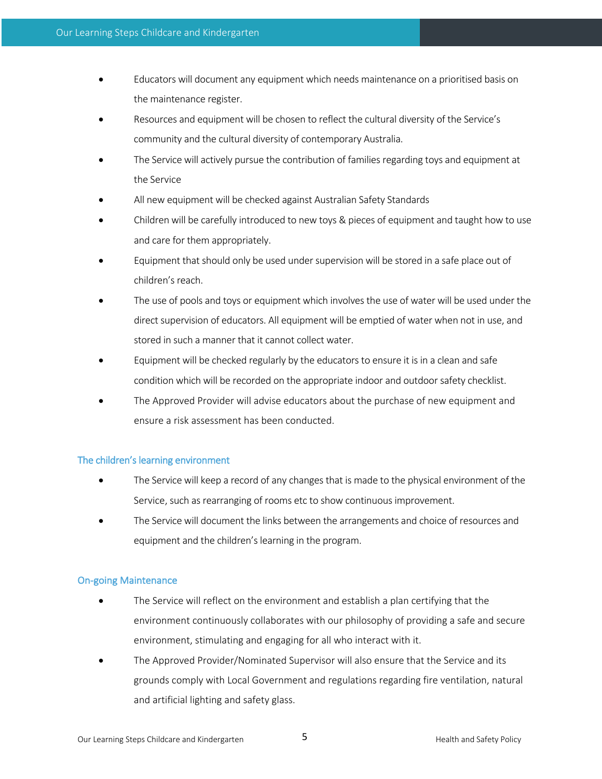- Educators will document any equipment which needs maintenance on a prioritised basis on the maintenance register.
- Resources and equipment will be chosen to reflect the cultural diversity of the Service's community and the cultural diversity of contemporary Australia.
- The Service will actively pursue the contribution of families regarding toys and equipment at the Service
- All new equipment will be checked against Australian Safety Standards
- Children will be carefully introduced to new toys & pieces of equipment and taught how to use and care for them appropriately.
- Equipment that should only be used under supervision will be stored in a safe place out of children's reach.
- The use of pools and toys or equipment which involves the use of water will be used under the direct supervision of educators. All equipment will be emptied of water when not in use, and stored in such a manner that it cannot collect water.
- Equipment will be checked regularly by the educators to ensure it is in a clean and safe condition which will be recorded on the appropriate indoor and outdoor safety checklist.
- The Approved Provider will advise educators about the purchase of new equipment and ensure a risk assessment has been conducted.

# The children's learning environment

- The Service will keep a record of any changes that is made to the physical environment of the Service, such as rearranging of rooms etc to show continuous improvement.
- The Service will document the links between the arrangements and choice of resources and equipment and the children's learning in the program.

# On-going Maintenance

- The Service will reflect on the environment and establish a plan certifying that the environment continuously collaborates with our philosophy of providing a safe and secure environment, stimulating and engaging for all who interact with it.
- The Approved Provider/Nominated Supervisor will also ensure that the Service and its grounds comply with Local Government and regulations regarding fire ventilation, natural and artificial lighting and safety glass.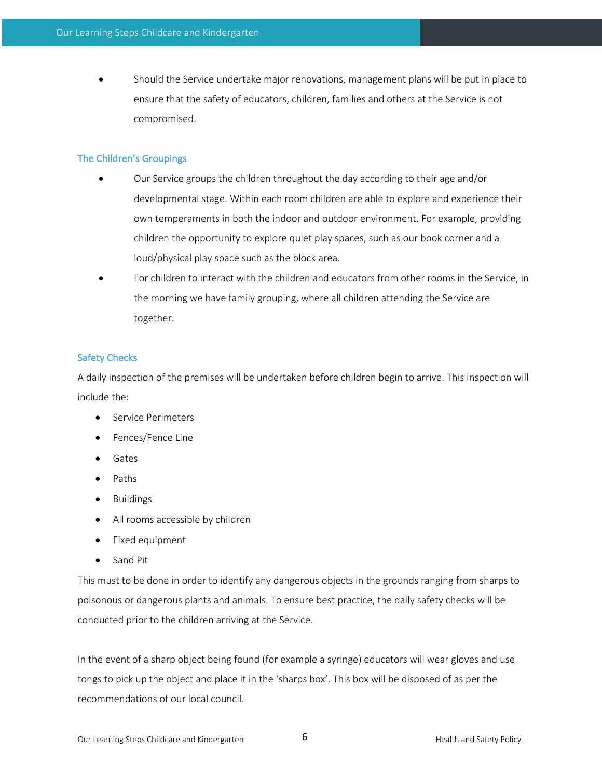• Should the Service undertake major renovations, management plans will be put in place to ensure that the safety of educators, children, families and others at the Service is not compromised.

# The Children's Groupings

- Our Service groups the children throughout the day according to their age and/or developmental stage. Within each room children are able to explore and experience their own temperaments in both the indoor and outdoor environment. For example, providing children the opportunity to explore quiet play spaces, such as our book corner and a loud/physical play space such as the block area.
- For children to interact with the children and educators from other rooms in the Service, in the morning we have family grouping, where all children attending the Service are together.

# Safety Checks

A daily inspection of the premises will be undertaken before children begin to arrive. This inspection will include the:

- Service Perimeters
- Fences/Fence Line
- Gates
- Paths
- Buildings
- All rooms accessible by children
- Fixed equipment
- Sand Pit

This must to be done in order to identify any dangerous objects in the grounds ranging from sharps to poisonous or dangerous plants and animals. To ensure best practice, the daily safety checks will be conducted prior to the children arriving at the Service.

In the event of a sharp object being found (for example a syringe) educators will wear gloves and use tongs to pick up the object and place it in the 'sharps box'. This box will be disposed of as per the recommendations of our local council.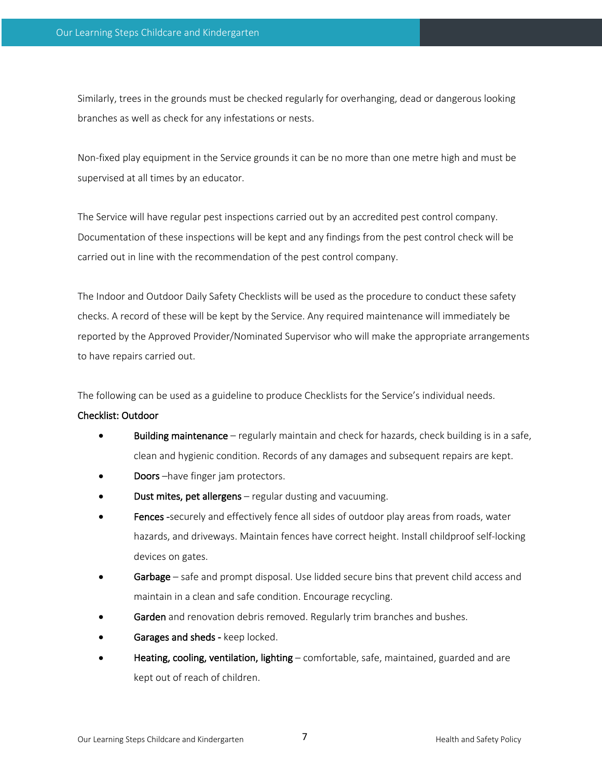Similarly, trees in the grounds must be checked regularly for overhanging, dead or dangerous looking branches as well as check for any infestations or nests.

Non-fixed play equipment in the Service grounds it can be no more than one metre high and must be supervised at all times by an educator.

The Service will have regular pest inspections carried out by an accredited pest control company. Documentation of these inspections will be kept and any findings from the pest control check will be carried out in line with the recommendation of the pest control company.

The Indoor and Outdoor Daily Safety Checklists will be used as the procedure to conduct these safety checks. A record of these will be kept by the Service. Any required maintenance will immediately be reported by the Approved Provider/Nominated Supervisor who will make the appropriate arrangements to have repairs carried out.

The following can be used as a guideline to produce Checklists for the Service's individual needs.

#### Checklist: Outdoor

- Building maintenance regularly maintain and check for hazards, check building is in a safe, clean and hygienic condition. Records of any damages and subsequent repairs are kept.
- Doors-have finger jam protectors.
- **Dust mites, pet allergens** regular dusting and vacuuming.
- Fences -securely and effectively fence all sides of outdoor play areas from roads, water hazards, and driveways. Maintain fences have correct height. Install childproof self-locking devices on gates.
- Garbage safe and prompt disposal. Use lidded secure bins that prevent child access and maintain in a clean and safe condition. Encourage recycling.
- Garden and renovation debris removed. Regularly trim branches and bushes.
- Garages and sheds keep locked.
- Heating, cooling, ventilation, lighting comfortable, safe, maintained, guarded and are kept out of reach of children.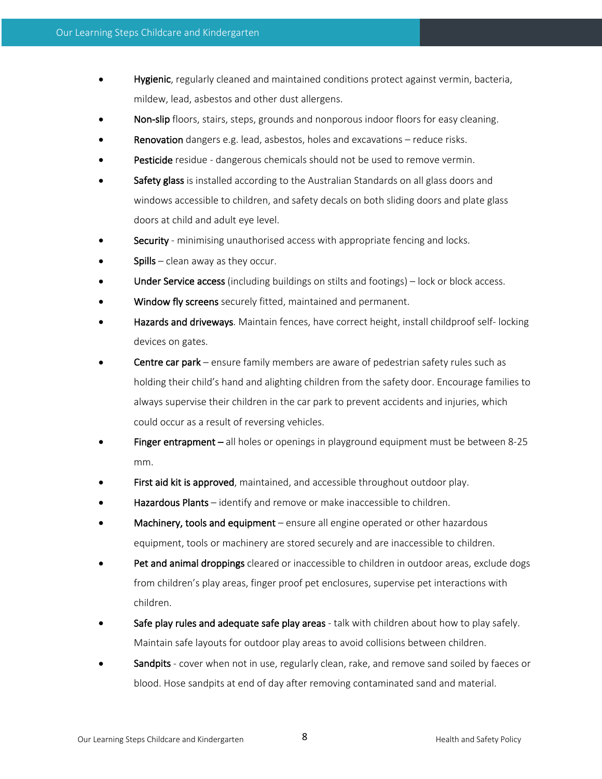- Hygienic, regularly cleaned and maintained conditions protect against vermin, bacteria, mildew, lead, asbestos and other dust allergens.
- Non-slip floors, stairs, steps, grounds and nonporous indoor floors for easy cleaning.
- Renovation dangers e.g. lead, asbestos, holes and excavations reduce risks.
- Pesticide residue dangerous chemicals should not be used to remove vermin.
- Safety glass is installed according to the Australian Standards on all glass doors and windows accessible to children, and safety decals on both sliding doors and plate glass doors at child and adult eye level.
- Security minimising unauthorised access with appropriate fencing and locks.
- **Spills** clean away as they occur.
- Under Service access (including buildings on stilts and footings) lock or block access.
- Window fly screens securely fitted, maintained and permanent.
- Hazards and driveways. Maintain fences, have correct height, install childproof self- locking devices on gates.
- Centre car park ensure family members are aware of pedestrian safety rules such as holding their child's hand and alighting children from the safety door. Encourage families to always supervise their children in the car park to prevent accidents and injuries, which could occur as a result of reversing vehicles.
- Finger entrapment all holes or openings in playground equipment must be between 8-25 mm.
- First aid kit is approved, maintained, and accessible throughout outdoor play.
- Hazardous Plants identify and remove or make inaccessible to children.
- Machinery, tools and equipment ensure all engine operated or other hazardous equipment, tools or machinery are stored securely and are inaccessible to children.
- Pet and animal droppings cleared or inaccessible to children in outdoor areas, exclude dogs from children's play areas, finger proof pet enclosures, supervise pet interactions with children.
- Safe play rules and adequate safe play areas talk with children about how to play safely. Maintain safe layouts for outdoor play areas to avoid collisions between children.
- Sandpits cover when not in use, regularly clean, rake, and remove sand soiled by faeces or blood. Hose sandpits at end of day after removing contaminated sand and material.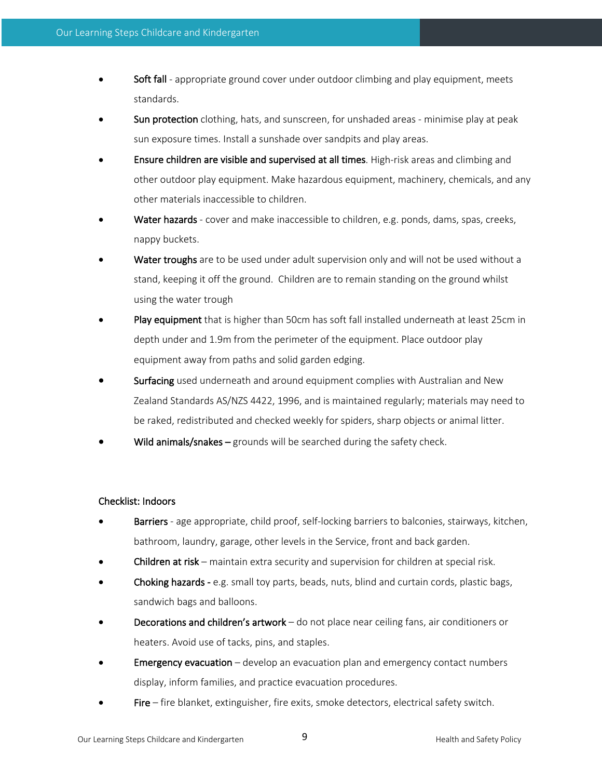- Soft fall appropriate ground cover under outdoor climbing and play equipment, meets standards.
- Sun protection clothing, hats, and sunscreen, for unshaded areas minimise play at peak sun exposure times. Install a sunshade over sandpits and play areas.
- Ensure children are visible and supervised at all times. High-risk areas and climbing and other outdoor play equipment. Make hazardous equipment, machinery, chemicals, and any other materials inaccessible to children.
- Water hazards cover and make inaccessible to children, e.g. ponds, dams, spas, creeks, nappy buckets.
- Water troughs are to be used under adult supervision only and will not be used without a stand, keeping it off the ground. Children are to remain standing on the ground whilst using the water trough
- Play equipment that is higher than 50cm has soft fall installed underneath at least 25cm in depth under and 1.9m from the perimeter of the equipment. Place outdoor play equipment away from paths and solid garden edging.
- Surfacing used underneath and around equipment complies with Australian and New Zealand Standards AS/NZS 4422, 1996, and is maintained regularly; materials may need to be raked, redistributed and checked weekly for spiders, sharp objects or animal litter.
- Wild animals/snakes  $-$  grounds will be searched during the safety check.

# Checklist: Indoors

- **Barriers** age appropriate, child proof, self-locking barriers to balconies, stairways, kitchen, bathroom, laundry, garage, other levels in the Service, front and back garden.
- Children at risk maintain extra security and supervision for children at special risk.
- Choking hazards e.g. small toy parts, beads, nuts, blind and curtain cords, plastic bags, sandwich bags and balloons.
- Decorations and children's artwork do not place near ceiling fans, air conditioners or heaters. Avoid use of tacks, pins, and staples.
- **Emergency evacuation** develop an evacuation plan and emergency contact numbers display, inform families, and practice evacuation procedures.
- Fire fire blanket, extinguisher, fire exits, smoke detectors, electrical safety switch.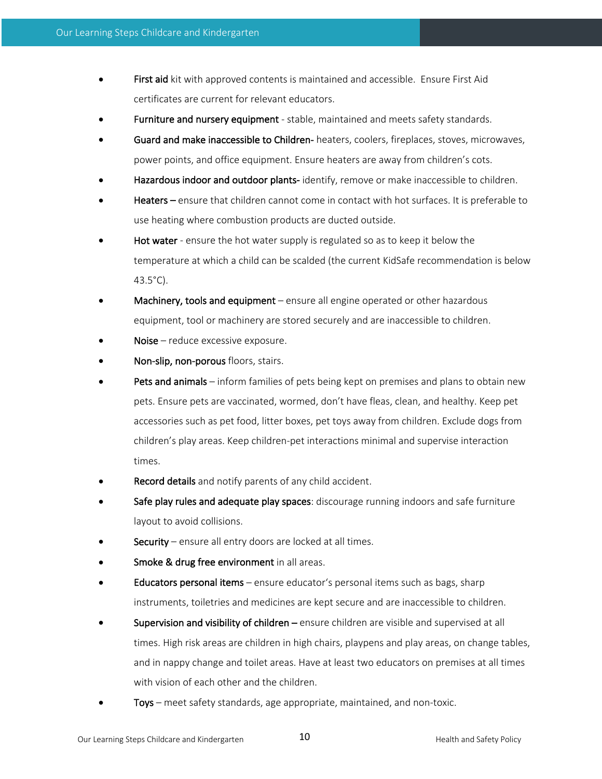- First aid kit with approved contents is maintained and accessible. Ensure First Aid certificates are current for relevant educators.
- Furniture and nursery equipment stable, maintained and meets safety standards.
- Guard and make inaccessible to Children- heaters, coolers, fireplaces, stoves, microwaves, power points, and office equipment. Ensure heaters are away from children's cots.
- Hazardous indoor and outdoor plants-identify, remove or make inaccessible to children.
- Heaters ensure that children cannot come in contact with hot surfaces. It is preferable to use heating where combustion products are ducted outside.
- **Hot water** ensure the hot water supply is regulated so as to keep it below the temperature at which a child can be scalded (the current KidSafe recommendation is below 43.5°C).
- Machinery, tools and equipment ensure all engine operated or other hazardous equipment, tool or machinery are stored securely and are inaccessible to children.
- Noise reduce excessive exposure.
- Non-slip, non-porous floors, stairs.
- Pets and animals inform families of pets being kept on premises and plans to obtain new pets. Ensure pets are vaccinated, wormed, don't have fleas, clean, and healthy. Keep pet accessories such as pet food, litter boxes, pet toys away from children. Exclude dogs from children's play areas. Keep children-pet interactions minimal and supervise interaction times.
- Record details and notify parents of any child accident.
- Safe play rules and adequate play spaces: discourage running indoors and safe furniture layout to avoid collisions.
- **Security** ensure all entry doors are locked at all times.
- Smoke & drug free environment in all areas.
- **Educators personal items** ensure educator's personal items such as bags, sharp instruments, toiletries and medicines are kept secure and are inaccessible to children.
- Supervision and visibility of children ensure children are visible and supervised at all times. High risk areas are children in high chairs, playpens and play areas, on change tables, and in nappy change and toilet areas. Have at least two educators on premises at all times with vision of each other and the children.
- Toys meet safety standards, age appropriate, maintained, and non-toxic.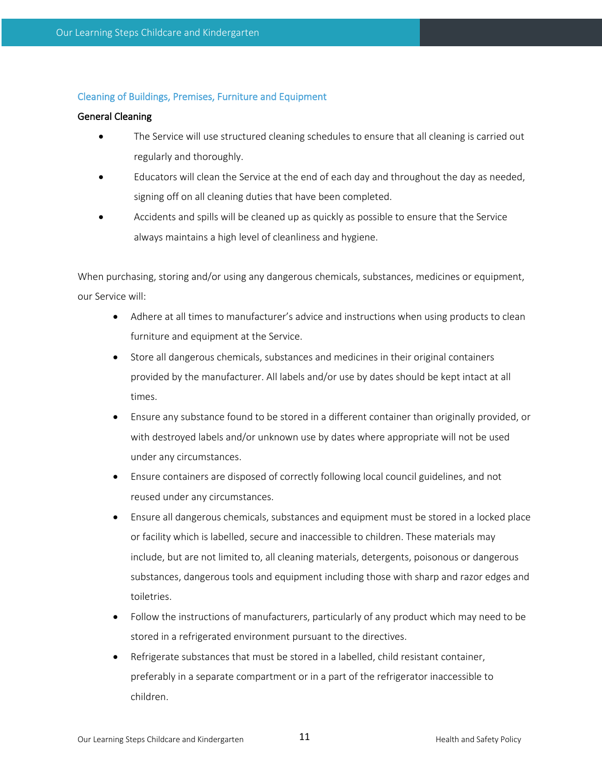# Cleaning of Buildings, Premises, Furniture and Equipment

#### General Cleaning

- The Service will use structured cleaning schedules to ensure that all cleaning is carried out regularly and thoroughly.
- Educators will clean the Service at the end of each day and throughout the day as needed, signing off on all cleaning duties that have been completed.
- Accidents and spills will be cleaned up as quickly as possible to ensure that the Service always maintains a high level of cleanliness and hygiene.

When purchasing, storing and/or using any dangerous chemicals, substances, medicines or equipment, our Service will:

- Adhere at all times to manufacturer's advice and instructions when using products to clean furniture and equipment at the Service.
- Store all dangerous chemicals, substances and medicines in their original containers provided by the manufacturer. All labels and/or use by dates should be kept intact at all times.
- Ensure any substance found to be stored in a different container than originally provided, or with destroyed labels and/or unknown use by dates where appropriate will not be used under any circumstances.
- Ensure containers are disposed of correctly following local council guidelines, and not reused under any circumstances.
- Ensure all dangerous chemicals, substances and equipment must be stored in a locked place or facility which is labelled, secure and inaccessible to children. These materials may include, but are not limited to, all cleaning materials, detergents, poisonous or dangerous substances, dangerous tools and equipment including those with sharp and razor edges and toiletries.
- Follow the instructions of manufacturers, particularly of any product which may need to be stored in a refrigerated environment pursuant to the directives.
- Refrigerate substances that must be stored in a labelled, child resistant container, preferably in a separate compartment or in a part of the refrigerator inaccessible to children.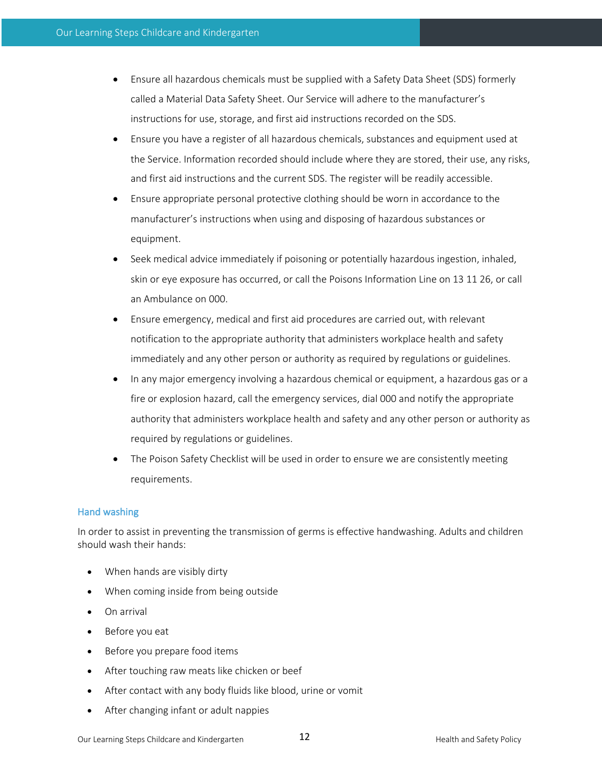- Ensure all hazardous chemicals must be supplied with a Safety Data Sheet (SDS) formerly called a Material Data Safety Sheet. Our Service will adhere to the manufacturer's instructions for use, storage, and first aid instructions recorded on the SDS.
- Ensure you have a register of all hazardous chemicals, substances and equipment used at the Service. Information recorded should include where they are stored, their use, any risks, and first aid instructions and the current SDS. The register will be readily accessible.
- Ensure appropriate personal protective clothing should be worn in accordance to the manufacturer's instructions when using and disposing of hazardous substances or equipment.
- Seek medical advice immediately if poisoning or potentially hazardous ingestion, inhaled, skin or eye exposure has occurred, or call the Poisons Information Line on 13 11 26, or call an Ambulance on 000.
- Ensure emergency, medical and first aid procedures are carried out, with relevant notification to the appropriate authority that administers workplace health and safety immediately and any other person or authority as required by regulations or guidelines.
- In any major emergency involving a hazardous chemical or equipment, a hazardous gas or a fire or explosion hazard, call the emergency services, dial 000 and notify the appropriate authority that administers workplace health and safety and any other person or authority as required by regulations or guidelines.
- The Poison Safety Checklist will be used in order to ensure we are consistently meeting requirements.

#### Hand washing

In order to assist in preventing the transmission of germs is effective handwashing. Adults and children should wash their hands:

- When hands are visibly dirty
- When coming inside from being outside
- On arrival
- Before you eat
- Before you prepare food items
- After touching raw meats like chicken or beef
- After contact with any body fluids like blood, urine or vomit
- After changing infant or adult nappies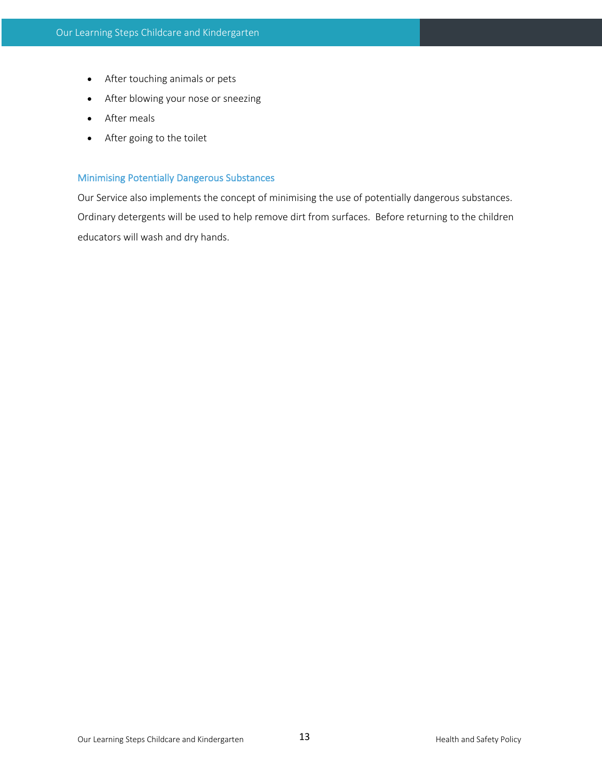- After touching animals or pets
- After blowing your nose or sneezing
- After meals
- After going to the toilet

# Minimising Potentially Dangerous Substances

Our Service also implements the concept of minimising the use of potentially dangerous substances. Ordinary detergents will be used to help remove dirt from surfaces. Before returning to the children educators will wash and dry hands.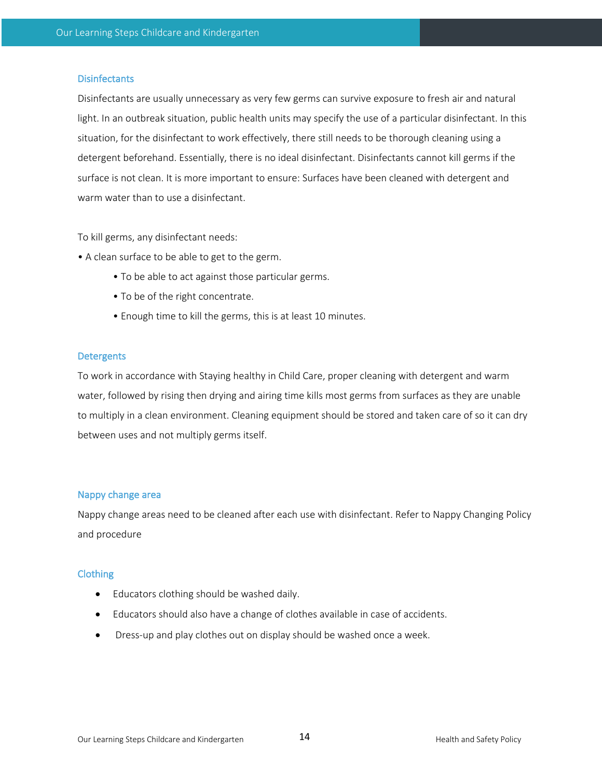#### **Disinfectants**

Disinfectants are usually unnecessary as very few germs can survive exposure to fresh air and natural light. In an outbreak situation, public health units may specify the use of a particular disinfectant. In this situation, for the disinfectant to work effectively, there still needs to be thorough cleaning using a detergent beforehand. Essentially, there is no ideal disinfectant. Disinfectants cannot kill germs if the surface is not clean. It is more important to ensure: Surfaces have been cleaned with detergent and warm water than to use a disinfectant.

To kill germs, any disinfectant needs:

- A clean surface to be able to get to the germ.
	- To be able to act against those particular germs.
	- To be of the right concentrate.
	- Enough time to kill the germs, this is at least 10 minutes.

#### **Detergents**

To work in accordance with Staying healthy in Child Care, proper cleaning with detergent and warm water, followed by rising then drying and airing time kills most germs from surfaces as they are unable to multiply in a clean environment. Cleaning equipment should be stored and taken care of so it can dry between uses and not multiply germs itself.

#### Nappy change area

Nappy change areas need to be cleaned after each use with disinfectant. Refer to Nappy Changing Policy and procedure

#### Clothing

- Educators clothing should be washed daily.
- Educators should also have a change of clothes available in case of accidents.
- Dress-up and play clothes out on display should be washed once a week.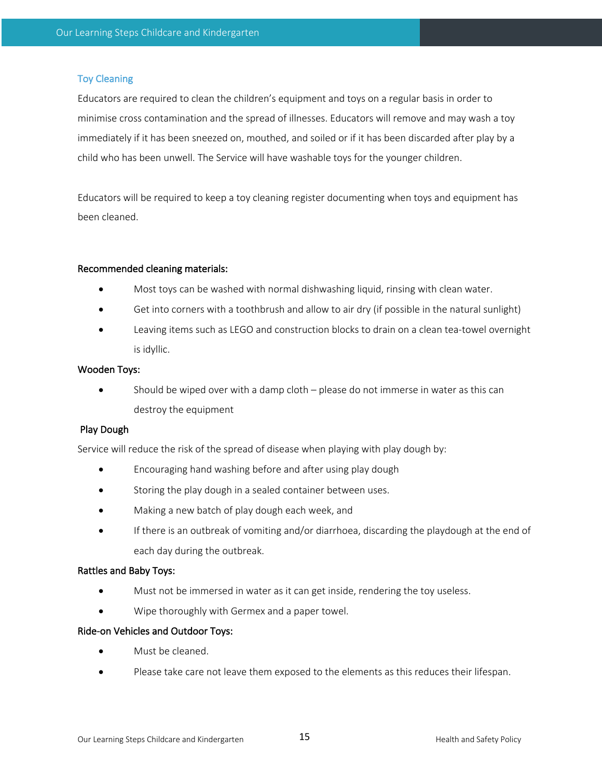# Toy Cleaning

Educators are required to clean the children's equipment and toys on a regular basis in order to minimise cross contamination and the spread of illnesses. Educators will remove and may wash a toy immediately if it has been sneezed on, mouthed, and soiled or if it has been discarded after play by a child who has been unwell. The Service will have washable toys for the younger children.

Educators will be required to keep a toy cleaning register documenting when toys and equipment has been cleaned.

#### Recommended cleaning materials:

- Most toys can be washed with normal dishwashing liquid, rinsing with clean water.
- Get into corners with a toothbrush and allow to air dry (if possible in the natural sunlight)
- Leaving items such as LEGO and construction blocks to drain on a clean tea-towel overnight is idyllic.

#### Wooden Toys:

• Should be wiped over with a damp cloth – please do not immerse in water as this can destroy the equipment

#### Play Dough

Service will reduce the risk of the spread of disease when playing with play dough by:

- Encouraging hand washing before and after using play dough
- Storing the play dough in a sealed container between uses.
- Making a new batch of play dough each week, and
- If there is an outbreak of vomiting and/or diarrhoea, discarding the playdough at the end of each day during the outbreak.

#### Rattles and Baby Toys:

- Must not be immersed in water as it can get inside, rendering the toy useless.
- Wipe thoroughly with Germex and a paper towel.

#### Ride-on Vehicles and Outdoor Toys:

- Must be cleaned.
- Please take care not leave them exposed to the elements as this reduces their lifespan.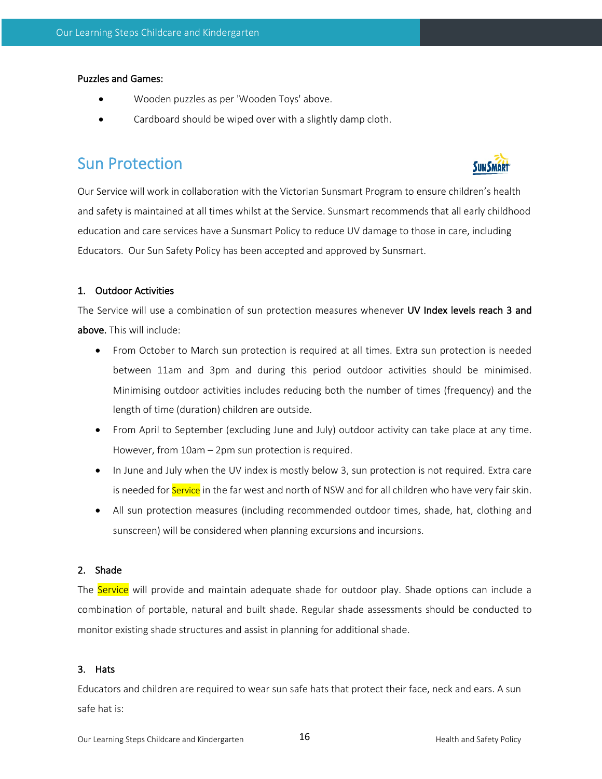#### Puzzles and Games:

- Wooden puzzles as per 'Wooden Toys' above.
- Cardboard should be wiped over with a slightly damp cloth.

# Sun Protection



Our Service will work in collaboration with the Victorian Sunsmart Program to ensure children's health and safety is maintained at all times whilst at the Service. Sunsmart recommends that all early childhood education and care services have a Sunsmart Policy to reduce UV damage to those in care, including Educators. Our Sun Safety Policy has been accepted and approved by Sunsmart.

# 1. Outdoor Activities

The Service will use a combination of sun protection measures whenever UV Index levels reach 3 and above. This will include:

- From October to March sun protection is required at all times. Extra sun protection is needed between 11am and 3pm and during this period outdoor activities should be minimised. Minimising outdoor activities includes reducing both the number of times (frequency) and the length of time (duration) children are outside.
- From April to September (excluding June and July) outdoor activity can take place at any time. However, from 10am – 2pm sun protection is required.
- In June and July when the UV index is mostly below 3, sun protection is not required. Extra care is needed for Service in the far west and north of NSW and for all children who have very fair skin.
- All sun protection measures (including recommended outdoor times, shade, hat, clothing and sunscreen) will be considered when planning excursions and incursions.

# 2. Shade

The Service will provide and maintain adequate shade for outdoor play. Shade options can include a combination of portable, natural and built shade. Regular shade assessments should be conducted to monitor existing shade structures and assist in planning for additional shade.

#### 3. Hats

Educators and children are required to wear sun safe hats that protect their face, neck and ears. A sun safe hat is: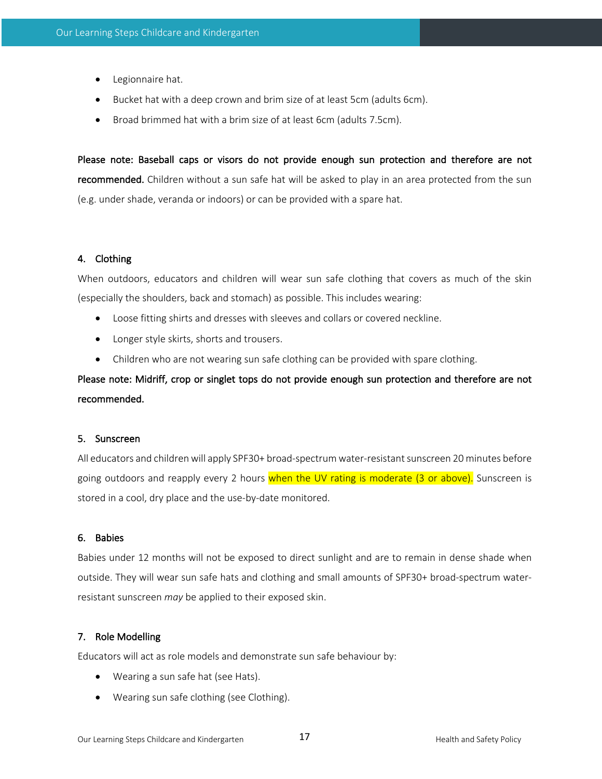- Legionnaire hat.
- Bucket hat with a deep crown and brim size of at least 5cm (adults 6cm).
- Broad brimmed hat with a brim size of at least 6cm (adults 7.5cm).

Please note: Baseball caps or visors do not provide enough sun protection and therefore are not recommended. Children without a sun safe hat will be asked to play in an area protected from the sun (e.g. under shade, veranda or indoors) or can be provided with a spare hat.

# 4. Clothing

When outdoors, educators and children will wear sun safe clothing that covers as much of the skin (especially the shoulders, back and stomach) as possible. This includes wearing:

- Loose fitting shirts and dresses with sleeves and collars or covered neckline.
- Longer style skirts, shorts and trousers.
- Children who are not wearing sun safe clothing can be provided with spare clothing.

Please note: Midriff, crop or singlet tops do not provide enough sun protection and therefore are not recommended.

#### 5. Sunscreen

All educators and children will apply SPF30+ broad-spectrum water-resistant sunscreen 20 minutes before going outdoors and reapply every 2 hours when the UV rating is moderate (3 or above). Sunscreen is stored in a cool, dry place and the use-by-date monitored.

#### 6. Babies

Babies under 12 months will not be exposed to direct sunlight and are to remain in dense shade when outside. They will wear sun safe hats and clothing and small amounts of SPF30+ broad-spectrum waterresistant sunscreen *may* be applied to their exposed skin.

#### 7. Role Modelling

Educators will act as role models and demonstrate sun safe behaviour by:

- Wearing a sun safe hat (see Hats).
- Wearing sun safe clothing (see Clothing).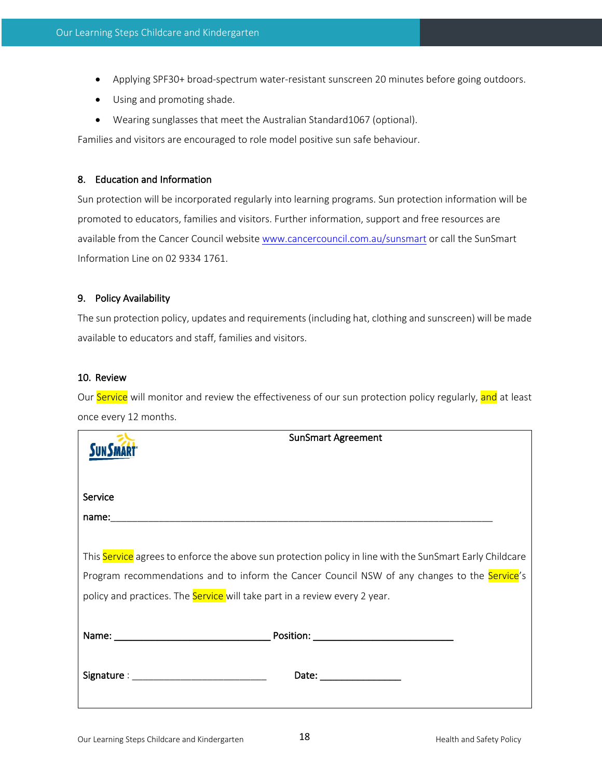- Applying SPF30+ broad-spectrum water-resistant sunscreen 20 minutes before going outdoors.
- Using and promoting shade.
- Wearing sunglasses that meet the Australian Standard1067 (optional).

Families and visitors are encouraged to role model positive sun safe behaviour.

#### 8. Education and Information

Sun protection will be incorporated regularly into learning programs. Sun protection information will be promoted to educators, families and visitors. Further information, support and free resources are available from the Cancer Council website www.cancercouncil.com.au/sunsmart or call the SunSmart Information Line on 02 9334 1761.

#### 9. Policy Availability

The sun protection policy, updates and requirements (including hat, clothing and sunscreen) will be made available to educators and staff, families and visitors.

#### 10. Review

Our Service will monitor and review the effectiveness of our sun protection policy regularly, and at least once every 12 months.

| <b>SunSmart Agreement</b>                                                                                |  |
|----------------------------------------------------------------------------------------------------------|--|
|                                                                                                          |  |
| Service                                                                                                  |  |
|                                                                                                          |  |
|                                                                                                          |  |
| This Service agrees to enforce the above sun protection policy in line with the SunSmart Early Childcare |  |
| Program recommendations and to inform the Cancer Council NSW of any changes to the Service's             |  |
| policy and practices. The <b>Service</b> will take part in a review every 2 year.                        |  |
|                                                                                                          |  |
|                                                                                                          |  |
|                                                                                                          |  |
| Date: __________________                                                                                 |  |
|                                                                                                          |  |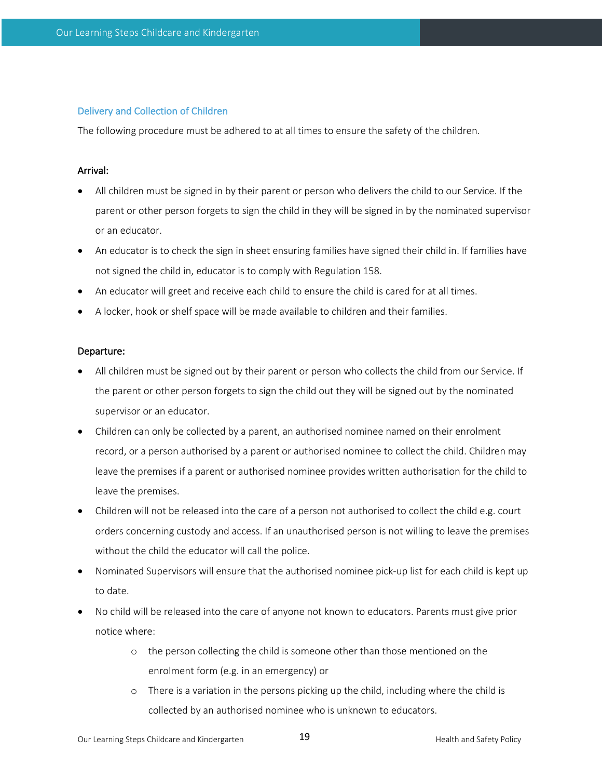#### Delivery and Collection of Children

The following procedure must be adhered to at all times to ensure the safety of the children.

#### Arrival:

- All children must be signed in by their parent or person who delivers the child to our Service. If the parent or other person forgets to sign the child in they will be signed in by the nominated supervisor or an educator.
- An educator is to check the sign in sheet ensuring families have signed their child in. If families have not signed the child in, educator is to comply with Regulation 158.
- An educator will greet and receive each child to ensure the child is cared for at all times.
- A locker, hook or shelf space will be made available to children and their families.

#### Departure:

- All children must be signed out by their parent or person who collects the child from our Service. If the parent or other person forgets to sign the child out they will be signed out by the nominated supervisor or an educator.
- Children can only be collected by a parent, an authorised nominee named on their enrolment record, or a person authorised by a parent or authorised nominee to collect the child. Children may leave the premises if a parent or authorised nominee provides written authorisation for the child to leave the premises.
- Children will not be released into the care of a person not authorised to collect the child e.g. court orders concerning custody and access. If an unauthorised person is not willing to leave the premises without the child the educator will call the police.
- Nominated Supervisors will ensure that the authorised nominee pick-up list for each child is kept up to date.
- No child will be released into the care of anyone not known to educators. Parents must give prior notice where:
	- o the person collecting the child is someone other than those mentioned on the enrolment form (e.g. in an emergency) or
	- o There is a variation in the persons picking up the child, including where the child is collected by an authorised nominee who is unknown to educators.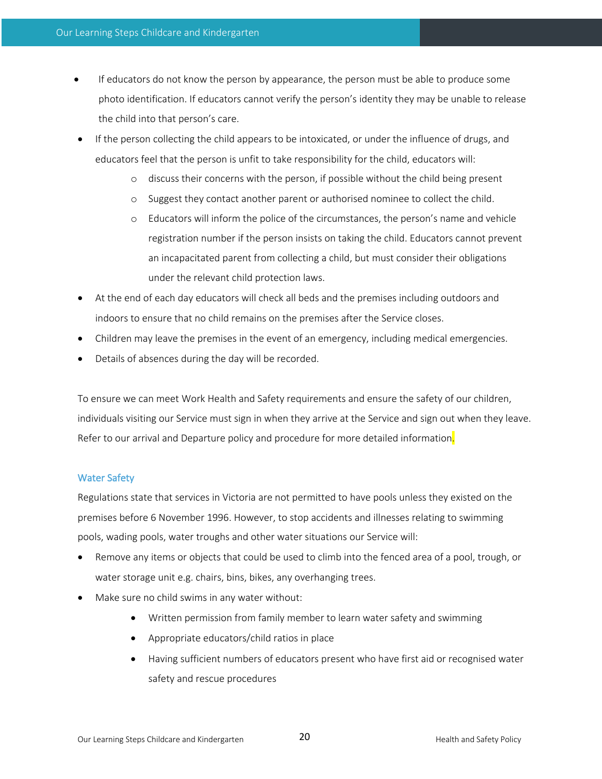- If educators do not know the person by appearance, the person must be able to produce some photo identification. If educators cannot verify the person's identity they may be unable to release the child into that person's care.
- If the person collecting the child appears to be intoxicated, or under the influence of drugs, and educators feel that the person is unfit to take responsibility for the child, educators will:
	- o discuss their concerns with the person, if possible without the child being present
	- o Suggest they contact another parent or authorised nominee to collect the child.
	- o Educators will inform the police of the circumstances, the person's name and vehicle registration number if the person insists on taking the child. Educators cannot prevent an incapacitated parent from collecting a child, but must consider their obligations under the relevant child protection laws.
- At the end of each day educators will check all beds and the premises including outdoors and indoors to ensure that no child remains on the premises after the Service closes.
- Children may leave the premises in the event of an emergency, including medical emergencies.
- Details of absences during the day will be recorded.

To ensure we can meet Work Health and Safety requirements and ensure the safety of our children, individuals visiting our Service must sign in when they arrive at the Service and sign out when they leave. Refer to our arrival and Departure policy and procedure for more detailed information.

#### Water Safety

Regulations state that services in Victoria are not permitted to have pools unless they existed on the premises before 6 November 1996. However, to stop accidents and illnesses relating to swimming pools, wading pools, water troughs and other water situations our Service will:

- Remove any items or objects that could be used to climb into the fenced area of a pool, trough, or water storage unit e.g. chairs, bins, bikes, any overhanging trees.
- Make sure no child swims in any water without:
	- Written permission from family member to learn water safety and swimming
	- Appropriate educators/child ratios in place
	- Having sufficient numbers of educators present who have first aid or recognised water safety and rescue procedures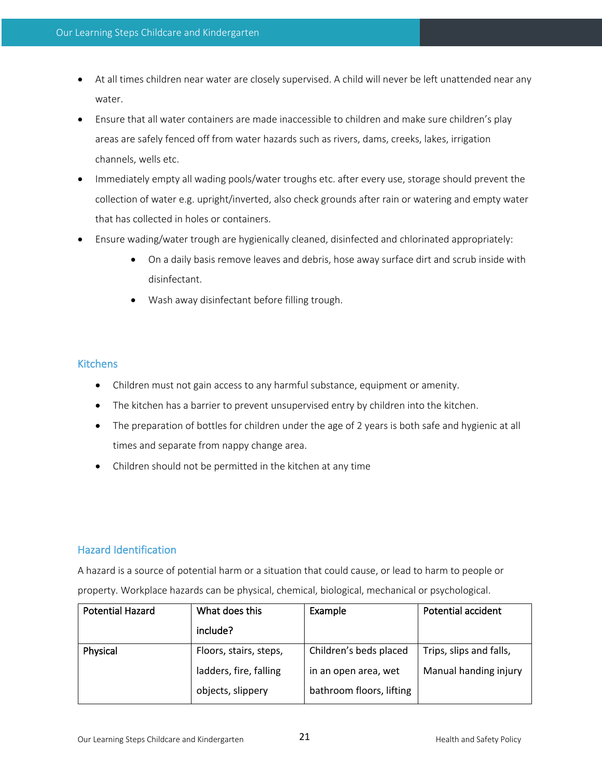- At all times children near water are closely supervised. A child will never be left unattended near any water.
- Ensure that all water containers are made inaccessible to children and make sure children's play areas are safely fenced off from water hazards such as rivers, dams, creeks, lakes, irrigation channels, wells etc.
- Immediately empty all wading pools/water troughs etc. after every use, storage should prevent the collection of water e.g. upright/inverted, also check grounds after rain or watering and empty water that has collected in holes or containers.
- Ensure wading/water trough are hygienically cleaned, disinfected and chlorinated appropriately:
	- On a daily basis remove leaves and debris, hose away surface dirt and scrub inside with disinfectant.
	- Wash away disinfectant before filling trough.

# **Kitchens**

- Children must not gain access to any harmful substance, equipment or amenity.
- The kitchen has a barrier to prevent unsupervised entry by children into the kitchen.
- The preparation of bottles for children under the age of 2 years is both safe and hygienic at all times and separate from nappy change area.
- Children should not be permitted in the kitchen at any time

# Hazard Identification

A hazard is a source of potential harm or a situation that could cause, or lead to harm to people or property. Workplace hazards can be physical, chemical, biological, mechanical or psychological.

| <b>Potential Hazard</b> | What does this         | Example                  | Potential accident      |
|-------------------------|------------------------|--------------------------|-------------------------|
|                         | include?               |                          |                         |
| Physical                | Floors, stairs, steps, | Children's beds placed   | Trips, slips and falls, |
|                         | ladders, fire, falling | in an open area, wet     | Manual handing injury   |
|                         | objects, slippery      | bathroom floors, lifting |                         |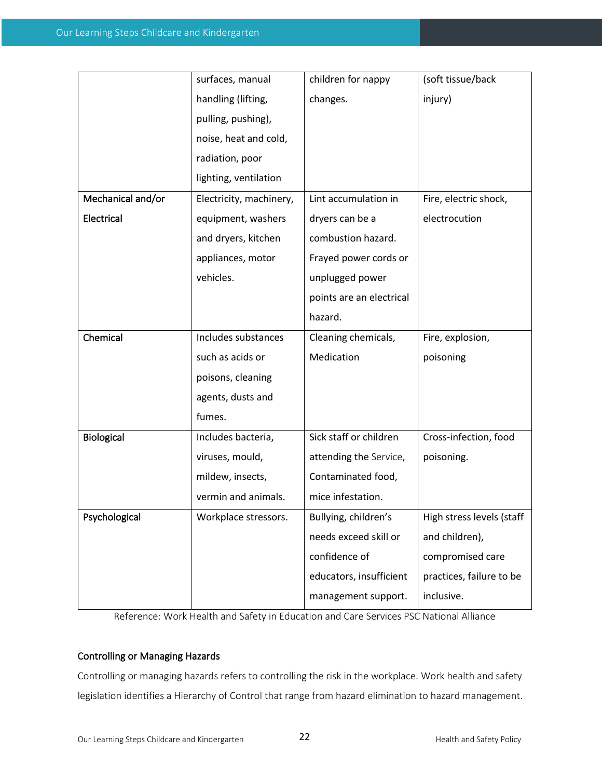|                   | surfaces, manual        | children for nappy       | (soft tissue/back         |
|-------------------|-------------------------|--------------------------|---------------------------|
|                   | handling (lifting,      | changes.                 | injury)                   |
|                   | pulling, pushing),      |                          |                           |
|                   | noise, heat and cold,   |                          |                           |
|                   | radiation, poor         |                          |                           |
|                   | lighting, ventilation   |                          |                           |
| Mechanical and/or | Electricity, machinery, | Lint accumulation in     | Fire, electric shock,     |
| Electrical        | equipment, washers      | dryers can be a          | electrocution             |
|                   | and dryers, kitchen     | combustion hazard.       |                           |
|                   | appliances, motor       | Frayed power cords or    |                           |
|                   | vehicles.               | unplugged power          |                           |
|                   |                         | points are an electrical |                           |
|                   |                         | hazard.                  |                           |
| Chemical          | Includes substances     | Cleaning chemicals,      | Fire, explosion,          |
|                   | such as acids or        | Medication               | poisoning                 |
|                   | poisons, cleaning       |                          |                           |
|                   | agents, dusts and       |                          |                           |
|                   | fumes.                  |                          |                           |
| Biological        | Includes bacteria,      | Sick staff or children   | Cross-infection, food     |
|                   | viruses, mould,         | attending the Service,   | poisoning.                |
|                   | mildew, insects,        | Contaminated food,       |                           |
|                   | vermin and animals.     | mice infestation.        |                           |
| Psychological     | Workplace stressors.    | Bullying, children's     | High stress levels (staff |
|                   |                         | needs exceed skill or    | and children),            |
|                   |                         | confidence of            | compromised care          |
|                   |                         | educators, insufficient  | practices, failure to be  |
|                   |                         | management support.      | inclusive.                |

Reference: Work Health and Safety in Education and Care Services PSC National Alliance

# Controlling or Managing Hazards

Controlling or managing hazards refers to controlling the risk in the workplace. Work health and safety legislation identifies a Hierarchy of Control that range from hazard elimination to hazard management.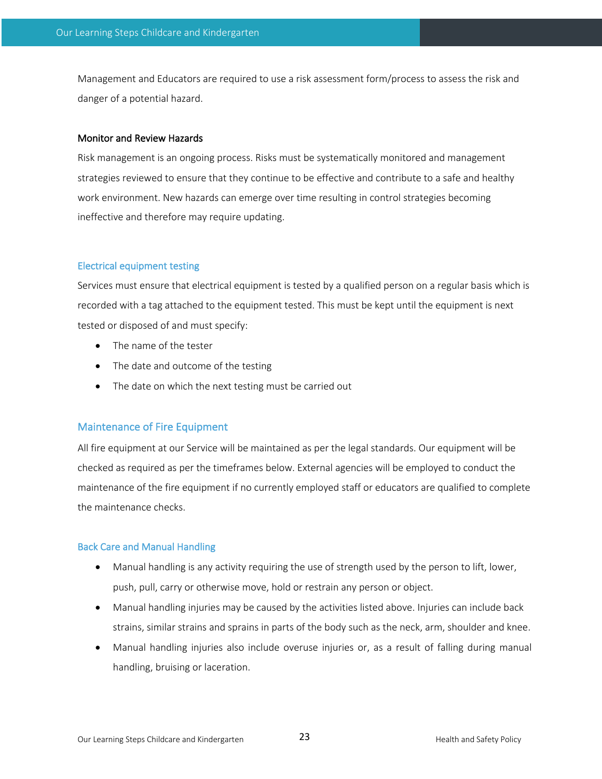Management and Educators are required to use a risk assessment form/process to assess the risk and danger of a potential hazard.

#### Monitor and Review Hazards

Risk management is an ongoing process. Risks must be systematically monitored and management strategies reviewed to ensure that they continue to be effective and contribute to a safe and healthy work environment. New hazards can emerge over time resulting in control strategies becoming ineffective and therefore may require updating.

#### Electrical equipment testing

Services must ensure that electrical equipment is tested by a qualified person on a regular basis which is recorded with a tag attached to the equipment tested. This must be kept until the equipment is next tested or disposed of and must specify:

- The name of the tester
- The date and outcome of the testing
- The date on which the next testing must be carried out

# Maintenance of Fire Equipment

All fire equipment at our Service will be maintained as per the legal standards. Our equipment will be checked as required as per the timeframes below. External agencies will be employed to conduct the maintenance of the fire equipment if no currently employed staff or educators are qualified to complete the maintenance checks.

#### Back Care and Manual Handling

- Manual handling is any activity requiring the use of strength used by the person to lift, lower, push, pull, carry or otherwise move, hold or restrain any person or object.
- Manual handling injuries may be caused by the activities listed above. Injuries can include back strains, similar strains and sprains in parts of the body such as the neck, arm, shoulder and knee.
- Manual handling injuries also include overuse injuries or, as a result of falling during manual handling, bruising or laceration.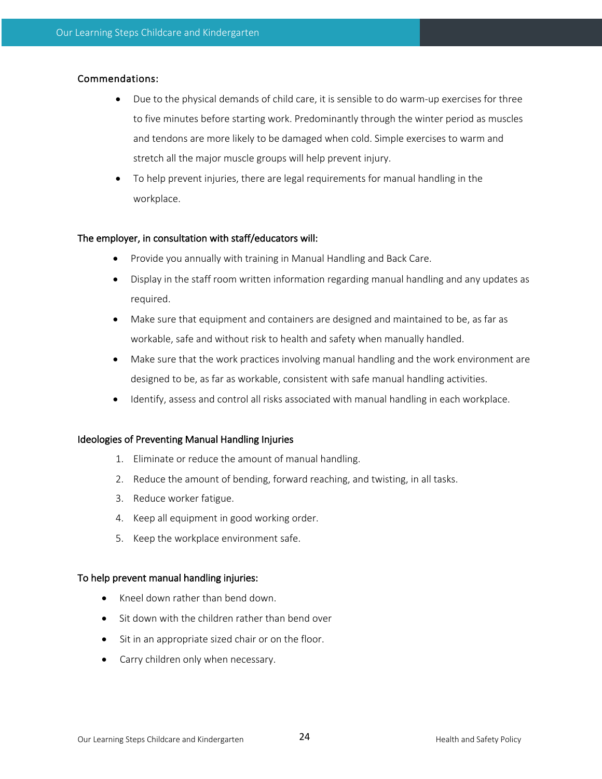# Commendations:

- Due to the physical demands of child care, it is sensible to do warm-up exercises for three to five minutes before starting work. Predominantly through the winter period as muscles and tendons are more likely to be damaged when cold. Simple exercises to warm and stretch all the major muscle groups will help prevent injury.
- To help prevent injuries, there are legal requirements for manual handling in the workplace.

#### The employer, in consultation with staff/educators will:

- Provide you annually with training in Manual Handling and Back Care.
- Display in the staff room written information regarding manual handling and any updates as required.
- Make sure that equipment and containers are designed and maintained to be, as far as workable, safe and without risk to health and safety when manually handled.
- Make sure that the work practices involving manual handling and the work environment are designed to be, as far as workable, consistent with safe manual handling activities.
- Identify, assess and control all risks associated with manual handling in each workplace.

#### Ideologies of Preventing Manual Handling Injuries

- 1. Eliminate or reduce the amount of manual handling.
- 2. Reduce the amount of bending, forward reaching, and twisting, in all tasks.
- 3. Reduce worker fatigue.
- 4. Keep all equipment in good working order.
- 5. Keep the workplace environment safe.

#### To help prevent manual handling injuries:

- Kneel down rather than bend down.
- Sit down with the children rather than bend over
- Sit in an appropriate sized chair or on the floor.
- Carry children only when necessary.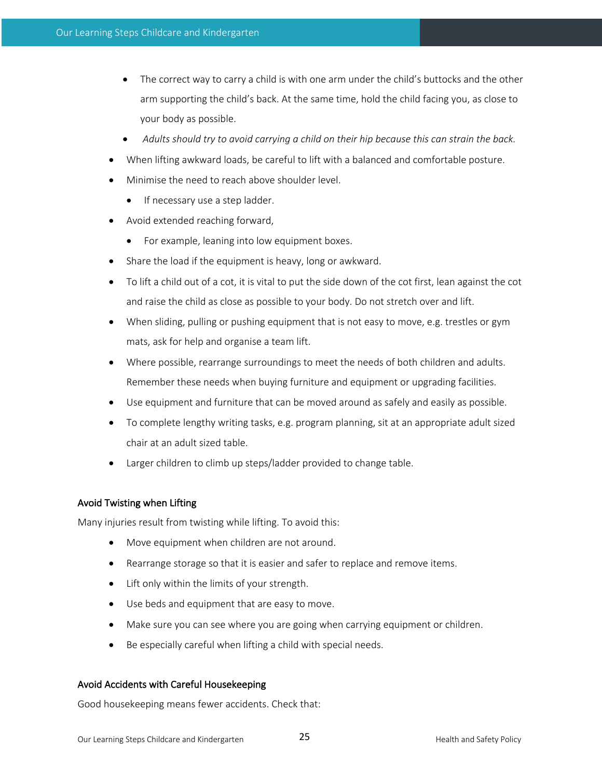- The correct way to carry a child is with one arm under the child's buttocks and the other arm supporting the child's back. At the same time, hold the child facing you, as close to your body as possible.
- *Adults should try to avoid carrying a child on their hip because this can strain the back.*
- When lifting awkward loads, be careful to lift with a balanced and comfortable posture.
- Minimise the need to reach above shoulder level.
	- If necessary use a step ladder.
- Avoid extended reaching forward,
	- For example, leaning into low equipment boxes.
- Share the load if the equipment is heavy, long or awkward.
- To lift a child out of a cot, it is vital to put the side down of the cot first, lean against the cot and raise the child as close as possible to your body. Do not stretch over and lift.
- When sliding, pulling or pushing equipment that is not easy to move, e.g. trestles or gym mats, ask for help and organise a team lift.
- Where possible, rearrange surroundings to meet the needs of both children and adults. Remember these needs when buying furniture and equipment or upgrading facilities.
- Use equipment and furniture that can be moved around as safely and easily as possible.
- To complete lengthy writing tasks, e.g. program planning, sit at an appropriate adult sized chair at an adult sized table.
- Larger children to climb up steps/ladder provided to change table.

# Avoid Twisting when Lifting

Many injuries result from twisting while lifting. To avoid this:

- Move equipment when children are not around.
- Rearrange storage so that it is easier and safer to replace and remove items.
- Lift only within the limits of your strength.
- Use beds and equipment that are easy to move.
- Make sure you can see where you are going when carrying equipment or children.
- Be especially careful when lifting a child with special needs.

# Avoid Accidents with Careful Housekeeping

Good housekeeping means fewer accidents. Check that: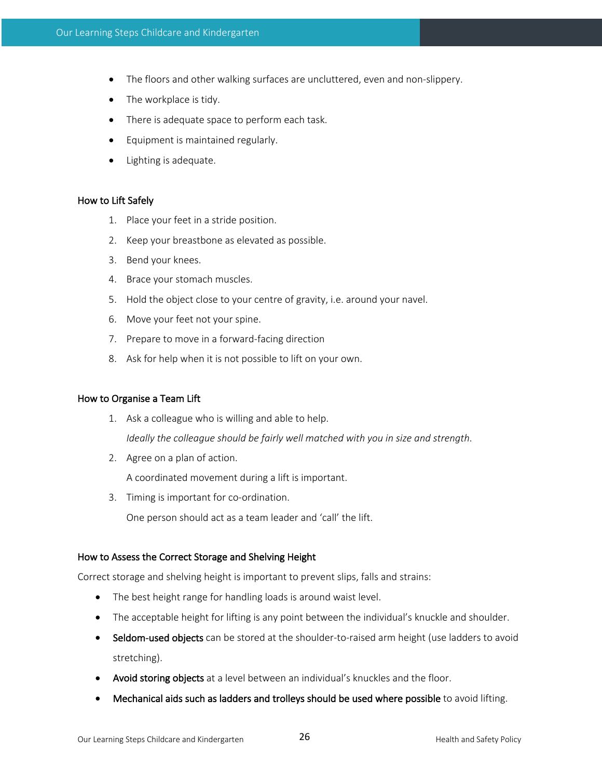- The floors and other walking surfaces are uncluttered, even and non-slippery.
- The workplace is tidy.
- There is adequate space to perform each task.
- Equipment is maintained regularly.
- Lighting is adequate.

#### How to Lift Safely

- 1. Place your feet in a stride position.
- 2. Keep your breastbone as elevated as possible.
- 3. Bend your knees.
- 4. Brace your stomach muscles.
- 5. Hold the object close to your centre of gravity, i.e. around your navel.
- 6. Move your feet not your spine.
- 7. Prepare to move in a forward-facing direction
- 8. Ask for help when it is not possible to lift on your own.

#### How to Organise a Team Lift

- 1. Ask a colleague who is willing and able to help. *Ideally the colleague should be fairly well matched with you in size and strength*.
- 2. Agree on a plan of action.

A coordinated movement during a lift is important.

3. Timing is important for co-ordination.

One person should act as a team leader and 'call' the lift.

#### How to Assess the Correct Storage and Shelving Height

Correct storage and shelving height is important to prevent slips, falls and strains:

- The best height range for handling loads is around waist level.
- The acceptable height for lifting is any point between the individual's knuckle and shoulder.
- Seldom-used objects can be stored at the shoulder-to-raised arm height (use ladders to avoid stretching).
- Avoid storing objects at a level between an individual's knuckles and the floor.
- Mechanical aids such as ladders and trolleys should be used where possible to avoid lifting.